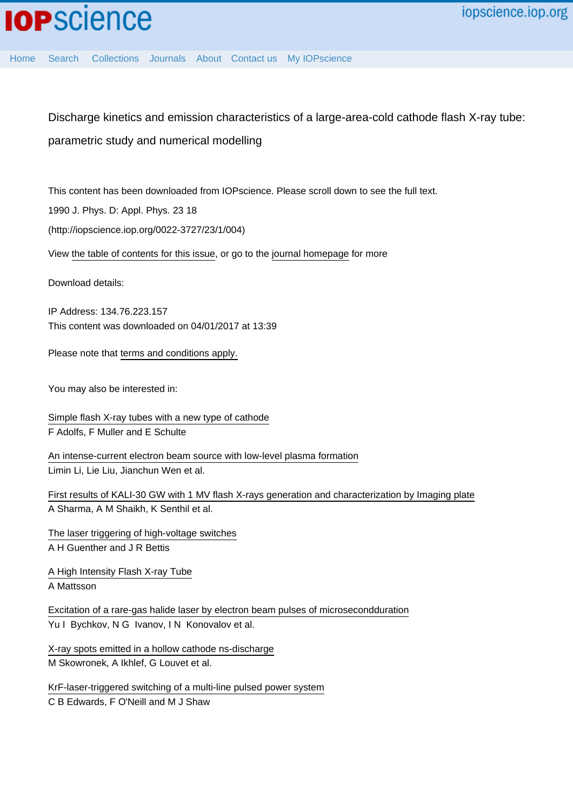[Home](http://iopscience.iop.org/) [Search](http://iopscience.iop.org/search) [Collections](http://iopscience.iop.org/collections) [Journals](http://iopscience.iop.org/journals) [About](http://iopscience.iop.org/page/aboutioppublishing) [Contact us](http://iopscience.iop.org/contact) [My IOPscience](http://iopscience.iop.org/myiopscience)

Discharge kinetics and emission characteristics of a large-area-cold cathode flash X-ray tube: parametric study and numerical modelling

This content has been downloaded from IOPscience. Please scroll down to see the full text.

1990 J. Phys. D: Appl. Phys. 23 18

(http://iopscience.iop.org/0022-3727/23/1/004)

View [the table of contents for this issue](http://iopscience.iop.org/0022-3727/23/1), or go to the [journal homepage](http://iopscience.iop.org/0022-3727) for more

Download details:

IP Address: 134.76.223.157 This content was downloaded on 04/01/2017 at 13:39

Please note that [terms and conditions apply.](http://iopscience.iop.org/page/terms)

You may also be interested in:

[Simple flash X-ray tubes with a new type of cathode](http://iopscience.iop.org/article/10.1088/0022-3735/11/6/012) F Adolfs, F Muller and E Schulte

[An intense-current electron beam source with low-level plasma formation](http://iopscience.iop.org/article/10.1088/0022-3727/41/12/125201) Limin Li, Lie Liu, Jianchun Wen et al.

[First results of KALI-30 GW with 1 MV flash X-rays generation and characterization by Imaging plate](http://iopscience.iop.org/article/10.1088/1748-0221/9/07/P07011) A Sharma, A M Shaikh, K Senthil et al.

[The laser triggering of high-voltage switches](http://iopscience.iop.org/article/10.1088/0022-3727/11/12/001) A H Guenther and J R Bettis

[A High Intensity Flash X-ray Tube](http://iopscience.iop.org/article/10.1088/0031-8949/6/2-3/013) A Mattsson

[Excitation of a rare-gas halide laser by electron beam pulses of microsecondduration](http://iopscience.iop.org/article/10.1070/QE1987v017n04ABEH007768) Yu I Bychkov, N G Ivanov, I N Konovalov et al.

[X-ray spots emitted in a hollow cathode ns-discharge](http://iopscience.iop.org/article/10.1088/0963-0252/5/1/009) M Skowronek, A Ikhlef, G Louvet et al.

[KrF-laser-triggered switching of a multi-line pulsed power system](http://iopscience.iop.org/article/10.1088/0022-3735/18/2/010) C B Edwards, F O'Neill and M J Shaw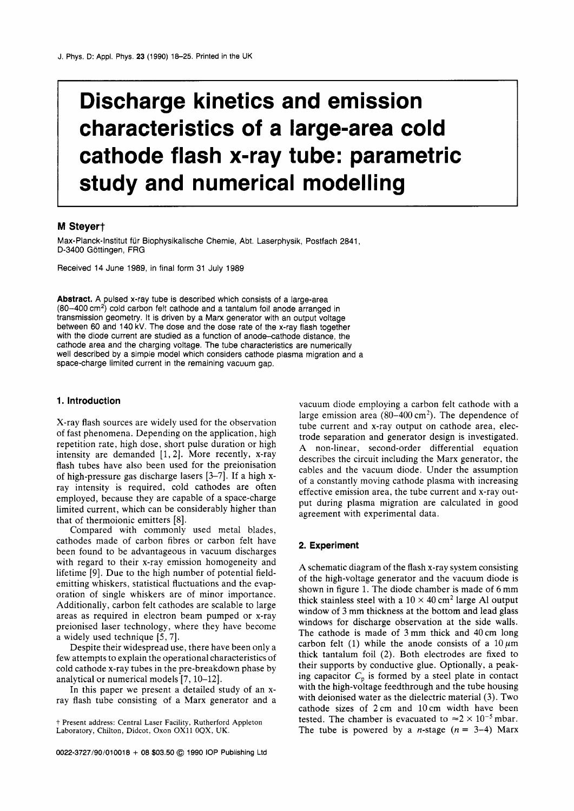# **Discharge kinetics and emission characteristics of a large-area cold cathode flash x-ray tube: parametric study and numerical modelling**

## **M Steyert**

Max-Planck-lnstitut fur Biophysikalische Chemie, Abt. Laserphysik, Postfach 2841, D-3400 Göttingen, FRG

Received 14 June 1989, in final form 31 July 1989

**Abstract.** A pulsed x-ray tube is described which consists of a large-area  $(80-400 \text{ cm}^2)$  cold carbon felt cathode and a tantalum foil anode arranged in transmission geometry. It is driven by a Marx generator with an output voltage between 60 and 140 kV. The dose and the dose rate of the x-ray flash together with the diode current are studied as a function of anode-cathode distance, the cathode area and the charging voltage. The tube characteristics are numerically well described by a simple model which considers cathode plasma migration and a space-charge limited current in the remaining vacuum gap.

X-ray flash sources are widely used for the observation of fast phenomena. Depending on the application, high repetition rate, high dose, short pulse duration or high intensity are demanded [1, 2]. More recently, x-ray flash tubes have also been used for the preionisation of high-pressure gas discharge lasers [3-71. If a high xray intensity is required, cold cathodes are often employed, because they are capable of a space-charge limited current, which can be considerably higher than that of thermoionic emitters  $[8]$ .

Compared with commonly used metal blades, cathodes made of carbon fibres or carbon felt have **Experiment**  been found to be advantageous in vacuum discharges with regard to their x-ray emission homogeneity and lifetime [g]. Due to the high number of potential fieldemitting whiskers, statistical fluctuations and the evaporation of single whiskers are of minor importance. Additionally, carbon felt cathodes are scalable to large areas as required in electron beam pumped or x-ray preionised laser technology, where they have become a widely used technique  $[5, 7]$ .

Despite their widespread use, there have been only a few attempts to explain the operational characteristics of cold cathode x-ray tubes in the pre-breakdown phase by analytical or numerical models *[7,* 10-121.

In this paper we present a detailed study of an xray flash tube consisting of a Marx generator and a

**1. Introduction 1. Introduction vacuum** diode employing a carbon felt cathode with a large emission area  $(80-400 \text{ cm}^2)$ . The dependence of tube current and x-ray output on cathode area, electrode separation and generator design is investigated. **A** non-linear, second-order differential equation describes the circuit including the Marx generator, the cables and the vacuum diode. Under the assumption of a constantly moving cathode plasma with increasing effective emission area, the tube current and x-ray output during plasma migration are calculated in good agreement with experimental data.

**A** schematic diagram of the flash x-ray system consisting of the high-voltage generator and the vacuum diode is shown in figure 1. The diode chamber is made of **6** mm thick stainless steel with a  $10 \times 40$  cm<sup>2</sup> large Al output window of **3** mm thickness at the bottom and lead glass windows for discharge observation at the side walls. The cathode is made of **3** mm thick and 40 cm long carbon felt (1) while the anode consists of a  $10 \mu m$ thick tantalum foil (2). Both electrodes are fixed to their supports by conductive glue. Optionally, a peaking capacitor  $C_p$  is formed by a steel plate in contact with the high-voltage feedthrough and the tube housing with deionised water as the dielectric material (3). Two cathode sizes of 2cm and 10cm width have been † Present address: Central Laser Facility, Rutherford Appleton tested. The chamber is evacuated to  $\approx 2 \times 10^{-5}$  mbar.<br>Laboratory, Chilton, Didcot, Oxon OX11 0QX, UK. The tube is powered by a *n*-stage (*n* = 3–4) Marx The tube is powered by a *n*-stage  $(n = 3-4)$  Marx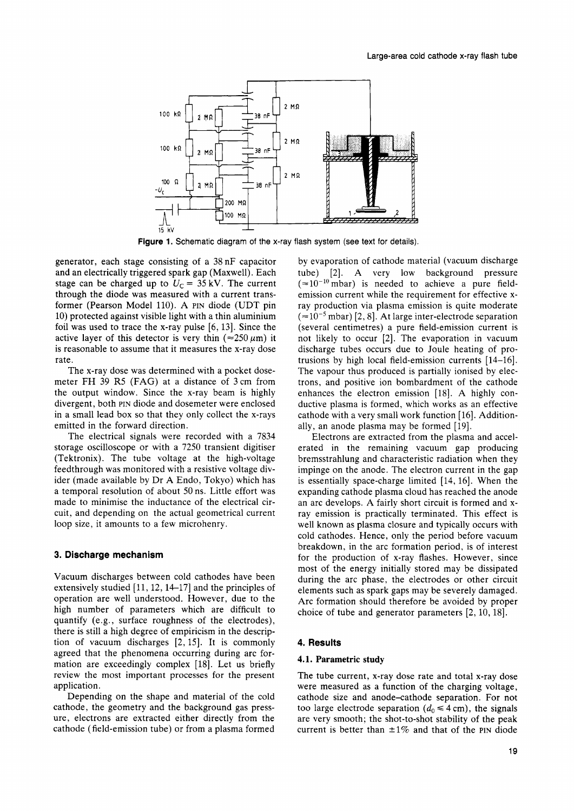

Figure 1. Schematic diagram of the x-ray flash system (see text for details).

generator, each stage consisting of a 38 nF capacitor and an electrically triggered spark gap (Maxwell). Each stage can be charged up to  $U<sub>C</sub> = 35$  kV. The current through the diode was measured with a current transformer (Pearson Model 110). **A** PIN diode (UDT pin 10) protected against visible light with a thin aluminium foil was used to trace the x-ray pulse  $[6, 13]$ . Since the active layer of this detector is very thin  $(\approx 250 \mu m)$  it is reasonable to assume that it measures the x-ray dose rate.

The x-ray dose was determined with a pocket dosemeter FH 39 R5 (FAG) at a distance of 3 cm from the output window. Since the x-ray beam is highly divergent, both PIN diode and dosemeter were enclosed in a small lead box so that they only collect the x-rays emitted in the forward direction.

The electrical signals were recorded with a 7834 storage oscilloscope or with a 7250 transient digitiser (Tektronix). The tube voltage at the high-voltage feedthrough was monitored with a resistive voltage divider (made available by Dr **A** Endo, Tokyo) which has a temporal resolution of about 50 ns. Little effort was made to minimise the inductance of the electrical circuit, and depending on the actual geometrical current loop size, it amounts to a few microhenry.

#### **3. Discharge mechanism**

Vacuum discharges between cold cathodes have been extensively studied [11, 12, 14–17] and the principles of operation are well understood. However, due to the high number of parameters which are difficult to quantify (e.g., surface roughness of the electrodes), there is still a high degree of empiricism in the description of vacuum discharges [2,15]. It is commonly agreed that the phenomena occurring during arc formation are exceedingly complex [18]. Let us briefly review the most important processes for the present application.

Depending on the shape and material of the cold cathode, the geometry and the background gas pressure, electrons are extracted either directly from the cathode (field-emission tube) or from a plasma formed

by evaporation of cathode material (vacuum discharge tube) [2]. **A** very low background pressure  $(approx 10^{-10} \text{ mbar})$  is needed to achieve a pure fieldemission current while the requirement for effective xray production via plasma emission is quite moderate  $(=10^{-5}$  mbar) [2, 8]. At large inter-electrode separation (several centimetres) a pure field-emission current is not likely to occur [2]. The evaporation in vacuum discharge tubes occurs due to Joule heating of protrusions by high local field-emission currents  $[14-16]$ . The vapour thus produced is partially ionised by electrons, and positive ion bombardment of the cathode enhances the electron emission [18]. A highly conductive plasma is formed, which works as an effective cathode with a very small work function [16]. Additionally, an anode plasma may be formed [19].

Electrons are extracted from the plasma and accelerated in the remaining vacuum gap producing bremsstrahlung and characteristic radiation when they impinge on the anode. The electron current in the gap is essentially space-charge limited [14, 16]. When the expanding cathode plasma cloud has reached the anode an arc develops. **A** fairly short circuit is formed and xray emission is practically terminated. This effect is well known as plasma closure and typically occurs with cold cathodes. Hence, only the period before vacuum breakdown, in the arc formation period, is of interest for the production of x-ray flashes. However, since most of the energy initially stored may be dissipated during the arc phase, the electrodes or other circuit elements such as spark gaps may be severely damaged. Arc formation should therefore be avoided by proper choice of tube and generator parameters **[2,** 10,181.

### **4. Results**

#### **4.1. Parametric study**

The tube current, x-ray dose rate and total x-ray dose were measured as a function of the charging voltage, cathode size and anode-cathode separation. For not too large electrode separation  $(d_0 \leq 4 \text{ cm})$ , the signals are very smooth; the shot-to-shot stability of the peak current is better than  $\pm 1\%$  and that of the PIN diode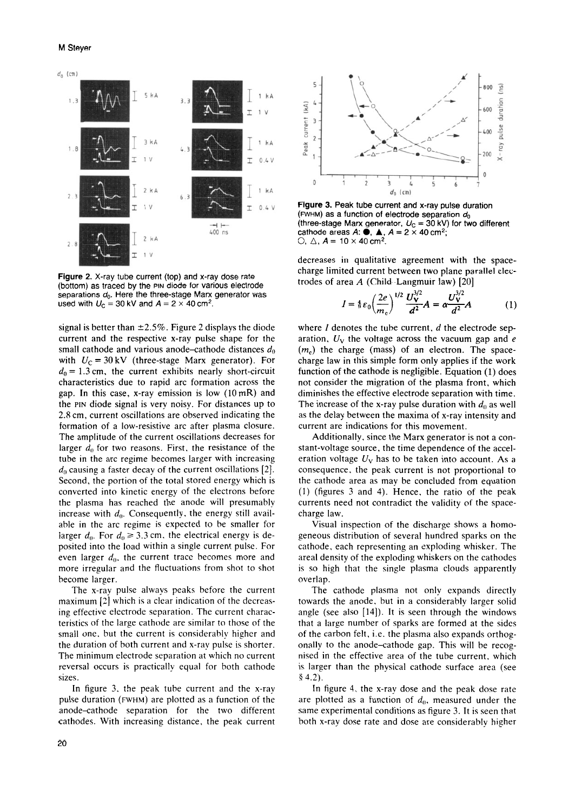### M Steyer



Figure **2.** X-ray tube current (top) and x-ray dose rate (bottom) as traced by the **PIN** diode for various electrode separations *do.* Here the three-stage Marx generator was used with  $U_C = 30$  kV and  $A = 2 \times 40$  cm<sup>2</sup>.

signal is better than  $\pm 2.5\%$ . Figure 2 displays the diode current and the respective x-ray pulse shape for the small cathode and various anode-cathode distances *do*  with  $U_C = 30 \text{ kV}$  (three-stage Marx generator). For  $d_0 = 1.3$  cm, the current exhibits nearly short-circuit characteristics due to rapid arc formation across the gap. In this case, x-ray emission is low (10 mR) and the **PIN** diode signal is very noisy. For distances up to *2.8* cm, current oscillations are observed indicating the formation of a low-resistive arc after plasma closure. The amplitude of the current oscillations decreases for larger  $d_0$  for two reasons. First, the resistance of the tube in the arc regime becomes larger with increasing *do* causing a faster decay of the current oscillations [2]. Second, the portion of the total stored energy which is converted into kinetic energy of the electrons before the plasma has reached the anode will presumably increase with  $d_0$ . Consequently, the energy still available in the arc regime is expected to be smaller for larger  $d_0$ . For  $d_0 \geq 3.3$  cm, the electrical energy is deposited into the load within a single current pulse. For even larger  $d_0$ , the current trace becomes more and more irregular and the fluctuations from shot to shot become larger.

The x-ray pulse always peaks before the current maximum [2] which is a clear indication of the decreasing effective electrode separation. The current characteristics of the large cathode are similar to those of the small one. but the current is considerably higher and the duration of both current and x-ray pulse is shorter. The minimum electrode separation at which no current reversal occurs is practically equal for both cathode sizes.

In figure 3, the peak tube current and the x-ray pulse duration (FWHM) are plotted as a function of the anode-cathode sparation for the two different cathodes. With increasing distance. the peak current



Figure **3.** Peak tube current and x-ray pulse duration **(FWHM)** as a function of electrode separation *do*  (three-stage Marx generator,  $U_C = 30$  kV) for two different cathode areas  $A: \bullet$ ,  $\blacktriangle$ ,  $A = 2 \times 40$  cm<sup>2</sup>;  $\bigcirc$ ,  $\bigtriangleup$ ,  $A = 10 \times 40$  cm<sup>2</sup>.

decreases in qualitative agreement with the spacecharge limited current between two plane parallel electrodes of area *A* (Child-Langmuir law) [20]

$$
I = \frac{4}{9} \varepsilon_0 \left( \frac{2e}{m_c} \right)^{1/2} \frac{U_V^{3/2}}{d^2} A = \alpha \frac{U_V^{3/2}}{d^2} A \tag{1}
$$

where *I* denotes the tube current, *d* the electrode separation, Uv the voltage across the vacuum gap and *e*   $(m<sub>c</sub>)$  the charge (mass) of an electron. The spacecharge law in this simple form only applies if the work function of the cathode is negligible. Equation (1) does not consider the migration of the plasma front, which diminishes the effective electrode separation with time. The increase of the x-ray pulse duration with  $d_0$  as well as the delay between the maxima of x-ray intensity and current are indications for this movement.

Additionally, since the Marx generator is not a constant-voltage source, the time dependence of the acceleration voltage  $U_V$  has to be taken into account. As a consequence. the peak current is not proportional to the cathode area as may be concluded from equation (1) (figures 3 and 4). Hence, the ratio of the peak currents need not contradict the validity of the spacecharge law.

Visual inspection of the discharge shows a homogeneous distribution of several hundred sparks on the cathode, each representing an exploding whisker. The areal density of the exploding whiskers on the cathodes is so high that the single plasma clouds apparently overlap.

The cathode plasma not only expands directly towards the anode. but in a considerably larger solid angle (see also [14]). It is seen through the windows that a large number of sparks are formed at the sides of the carbon felt, i.e. the plasma also expands orthogonally to the anode-cathode gap. This will be recognised in the effective area of the tube current, which is larger than the physical cathode surface area (see **<sup>d</sup>**4.2).

In figure 4. the x-ray dose and the peak dose rate are plotted as a function of  $d_0$ , measured under the same experimental conditions as figure 3. It is seen that both x-ray dose rate and dose are considerably higher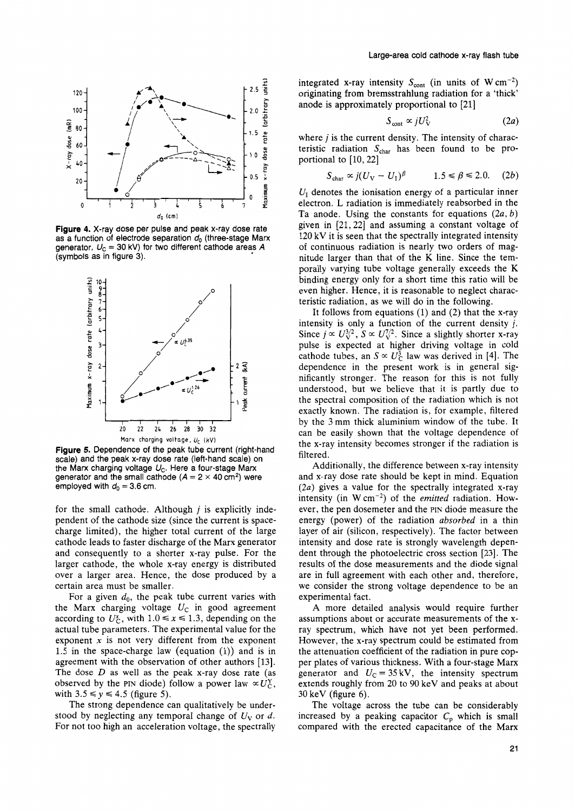

**Figure 4.** X-ray dose per pulse and peak x-ray dose rate as a function of electrode separation *do* (three-stage Marx generator,  $U_C = 30$  kV) for two different cathode areas  $\ddot{A}$ (symbols as in figure 3).



**Figure 5.** Dependence of the peak tube current (right-hand scale) and the peak x-ray dose rate (left-hand scale) on the Marx charging voltage  $U_c$ . Here a four-stage Marx generator and the small cathode  $(A = 2 \times 40 \text{ cm}^2)$  were employed with  $d_0 = 3.6$  cm.

for the small cathode. Although *j* is explicitly independent of the cathode size (since the current is spacecharge limited), the higher total current of the large cathode leads to faster discharge of the Marx generator and consequently to a shorter x-ray pulse. For the larger cathode, the whole x-ray energy is distributed over a larger area. Hence, the dose produced by a certain area must be smaller.

For a given  $d_0$ , the peak tube current varies with the Marx charging voltage  $U_c$  in good agreement according to  $U_c^x$ , with  $1.0 \le x \le 1.3$ , depending on the actual tube parameters. The experimental value for the exponent *x* is not very different from the exponent 1.5 in the space-charge law (equation (1)) and is in agreement with the observation of other authors [13]. The dose *D* as well as the peak x-ray dose rate (as observed by the PIN diode) follow a power law  $\alpha U_C^{\gamma}$ , with  $3.5 \le y \le 4.5$  (figure 5).

The strong dependence can qualitatively be understood by neglecting any temporal change of  $U_V$  or d. For not too high an acceleration voltage, the spectrally

integrated x-ray intensity  $S_{\text{cont}}$  (in units of W cm<sup>-2</sup>) originating from bremsstrahlung radiation for a 'thick' anode is approximately proportional to [21]

$$
S_{\text{cont}} \propto jU_{\text{V}}^2 \tag{2a}
$$

where *j* is the current density. The intensity of characteristic radiation  $S_{\text{char}}$  has been found to be proportional to  $[10, 22]$ 

$$
S_{\text{char}} \propto j(U_{\text{V}} - U_1)^{\beta} \qquad 1.5 \le \beta \le 2.0. \quad (2b)
$$

 $U<sub>I</sub>$  denotes the ionisation energy of a particular inner electron. L radiation is immediately reabsorbed in the Ta anode. Using the constants for equations  $(2a, b)$ given in [21,22] and assuming a constant voltage of 120 kV it is seen that the spectrally integrated intensity of continuous radiation is nearly two orders of magnitude larger than that of the K line. Since the temporally varying tube voltage generally exceeds the K binding energy only for a short time this ratio will be even higher. Hence, it is reasonable to neglect characteristic radiation, as we will do in the following.

It follows from equations  $(1)$  and  $(2)$  that the x-ray intensity is only a function of the current density *j.*  Since  $j \propto U_{\rm V}^{3/2}$ ,  $S \propto U_{\rm V}^{7/2}$ . Since a slightly shorter x-ray pulse is expected at higher driving voltage in cold tubes, an  $S \propto U_0^3$  law was derived in [4]. The canonicle tubes, a the property world is in concrete in dependence in the present work is in general significantly stronger. The reason for this is not fully understood, but we believe that it is partly due to the spectral composition of the radiation which is not exactly known. The radiation is, for example, filtered by the 3 mm thick aluminium window of the tube. It can be easily shown that the voltage dependence of the x-ray intensity becomes stronger if the radiation **is**  filtered.

Additionally, the difference between x-ray intensity and x-ray dose rate should be kept in mind. Equation (2a) gives a value for the spectrally integrated x-ray intensity (in  $W \text{ cm}^{-2}$ ) of the *emitted* radiation. However, the pen dosemeter and the PIN diode measure the energy (power) of the radiation absorbed in a thin layer of air (silicon, respectively). The factor between intensity and dose rate is strongly wavelength dependent through the photoelectric cross section [23]. The results of the dose measurements and the diode signal are in full agreement with each other and, therefore, we consider the strong voltage dependence to be an experimental fact.

A more detailed analysis would require further assumptions about or accurate measurements of the xray spectrum, which have not yet been performed. However, the x-ray spectrum could be estimated from the attenuation coefficient of the radiation in pure copper plates of various thickness. With a four-stage Marx generator and  $U_C = 35 \text{ kV}$ , the intensity spectrum extends roughly from 20 to 90 keV and peaks at about 30 keV (figure **6).** 

The voltage across the tube can be considerably increased by a peaking capacitor  $C_p$  which is small compared with the erected capacitance of the Marx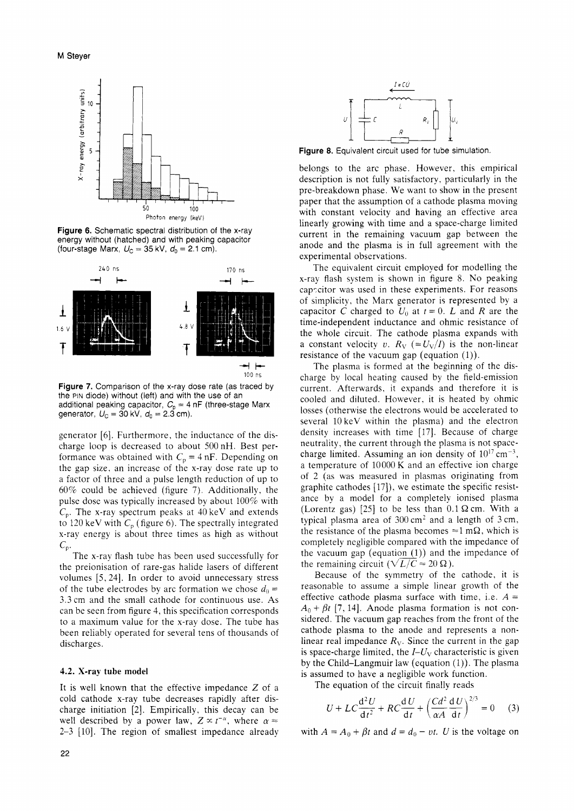

**Figure 6.** Schematic spectral distribution of the x-ray energy without (hatched) and with peaking capacitor (four-stage Marx,  $U_C = 35 \text{ kV}, d_0 = 2.1 \text{ cm}$ ).



**Figure** *7.* Comparison of the x-ray dose rate (as traced by the PIN diode) without (left) and with the use of an additional peaking capacitor,  $C_0 = 4$  nF (three-stage Marx generator,  $U_c = 30 \text{ kV}$ ,  $d_0 = 2.3 \text{ cm}$ ).

generator [6]. Furthermore, the inductance of the discharge loop is decreased to about 500 nH. Best performance was obtained with  $C_p = 4$  nF. Depending on the gap size. an increase of the x-ray dose rate up to a factor of three and a pulse length reduction of up to 60% could be achieved (figure 7). Additionally, the pulse dose was typically increased by about 100% with  $C_p$ . The x-ray spectrum peaks at 40 keV and extends to 120 keV with  $C_p$  (figure 6). The spectrally integrated x-ray energy is about three times as high as without  $C_{\rm p}$ .

The x-ray flash tube has been used successfully for the preionisation of rare-gas halide lasers of different volumes [5,24]. In order to avoid unnecessary stress of the tube electrodes by arc formation we chose  $d_0 =$ 3.3 cm and the small cathode for continuous use. As can be seen from figure 4, this specification corresponds to a maximum value for the x-ray dose. The tube has been reliably operated for several tens of thousands of discharges.

#### **4.2. X-ray tube model**

It is well known that the effective impedance *2* of a cold cathode x-ray tube decreases rapidly after discharge initiation [2]. Empirically, this decay can be well described by a power law,  $Z \propto t^{-\alpha}$ , where  $\alpha \approx$ 2-3 [lo]. The region of smallest impedance already



**Figure 8.** Equivalent circuit used for tube simulation.

belongs to the arc phase. However, this empirical description is not fully satisfactory, particularly in the pre-breakdown phase. We want to show in the present paper that the assumption of a cathode plasma moving with constant velocity and having an effective area linearly growing with time and a space-charge limited current in the remaining vacuum gap between the anode and the plasma is in full agreement with the experimental observations.

The equivalent circuit employed for modelling the x-ray flash system is shown in figure 8. No peaking cap-citor was used in these experiments. For reasons of simplicity, the Marx generator is represented by a capacitor *C* charged to  $U_0$  at  $t = 0$ . *L* and *R* are the time-independent inductance and ohmic resistance of the whole circuit. The cathode plasma expands with a constant velocity *v.*  $R_V$  (=  $U_V/I$ ) is the non-linear resistance of the vacuum gap (equation  $(1)$ ).

The plasma is formed at the beginning of the discharge by local heating caused by the field-emission current. Afterwards, it expands and therefore it is cooled and diluted. However. it is heated by ohmic losses (otherwise the electrons would be accelerated to several 10 keV within the plasma) and the electron density increases with time [17]. Because of charge neutrality, the current through the plasma is not spacecharge limited. Assuming an ion density of  $10^{17}$  cm<sup>-3</sup>, a temperature of 10000 K and an effective ion charge of 2 (as was measured in plasmas originating from graphite cathodes [17]), we estimate the specific resistance by a model for a completely ionised plasma (Lorentz gas)  $[25]$  to be less than  $0.1 \Omega$  cm. With a typical plasma area of  $300 \text{ cm}^2$  and a length of  $3 \text{ cm}$ , the resistance of the plasma becomes  $\approx 1$  m $\Omega$ , which is completely negligible compared with the impedance of the vacuum gap (equation  $(1)$ ) and the impedance of the remaining circuit  $(\sqrt{L/C} \approx 20 \Omega)$ .

Because of the symmetry of the cathode, it is reasonable to assume a simple linear growth of the effective cathode plasma surface with time, i.e.  $A =$  $A_0 + \beta t$  [7, 14]. Anode plasma formation is not considered. The vacuum gap reaches from the front of the cathode plasma to the anode and represents a nonlinear real impedance  $R_V$ . Since the current in the gap is space-charge limited, the  $I-U_V$  characteristic is given by the Child-Langmuir law (equation  $(1)$ ). The plasma is assumed to have a negligible work function.

The equation of the circuit finally reads

med to have a negligible work function.  
\ne equation of the circuit finally reads  
\n
$$
U + LC \frac{d^2 U}{dt^2} + RC \frac{dU}{dt} + \left(\frac{Cd^2}{\alpha A} \frac{dU}{dt}\right)^{2/3} = 0
$$
 (3)

with  $A = A_0 + \beta t$  and  $d = d_0 - vt$ . *U* is the voltage on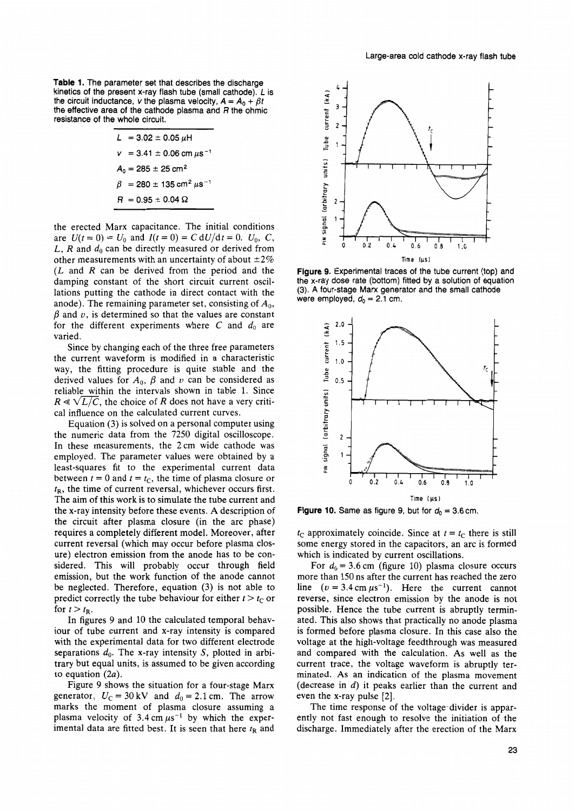**Table 1.** The parameter set that describes the discharge kinetics of the present x-ray flash tube (small cathode). *L* is the circuit inductance, *v* the plasma velocity,  $A = A_0 + \beta t$ the effective area of the cathode plasma and *R* the ohmic resistance of the whole circuit.

$$
L = 3.02 \pm 0.05 \,\mu\text{H}
$$
\n
$$
v = 3.41 \pm 0.06 \text{ cm } \mu\text{s}^{-1}
$$
\n
$$
A_0 = 285 \pm 25 \text{ cm}^2
$$
\n
$$
\beta = 280 \pm 135 \text{ cm}^2 \,\mu\text{s}^{-1}
$$
\n
$$
R = 0.95 \pm 0.04 \,\Omega
$$

the erected Marx capacitance. The initial conditions are  $U(t = 0) = U_0$  and  $I(t = 0) = C dU/dt = 0$ .  $U_0$ , C, L, R and  $d_0$  can be directly measured or derived from other measurements with an uncertainty of about  $\pm 2\%$ *(L* and *R* can be derived from the period and the damping constant of the short circuit current oscillations putting the cathode in direct contact with the anode). The remaining parameter set, consisting of *Ao,*   $\beta$  and  $\upsilon$ , is determined so that the values are constant for the different experiments where  $C$  and  $d_0$  are varied.

Since by changing each of the three free parameters the current waveform is modified in a characteristic way, the fitting procedure is quite stable and the derived values for  $A_0$ ,  $\beta$  and  $\nu$  can be considered as reliable within the intervals shown in table 1. Since derived values for  $A_0$ ,  $\beta$  and  $\nu$  can be considered as<br>reliable within the intervals shown in table 1. Since<br> $R \ll \sqrt{L/C}$ , the choice of *R* does not have a very criti-<br>cal influence on the calculated current curves cal influence on the calculated current curves.

Equation (3) is solved on a personal computer using the numeric data from the 7250 digital oscilloscope. In these measurements, the 2 cm wide cathode was employed. The parameter values were obtained by a least-squares fit to the xperimental current data between  $t = 0$  and  $t = t_c$ , the time of plasma closure or  $t_{\rm R}$ , the time of current reversal, whichever occurs first. The aim of this work is to simulate the tube current and the x-ray intensity before these events. **A** description of the circuit after plasma closure (in the arc phase) requires a completely different model. Moreover, after current reversal (which may occur before plasma closure) electron emission from the anode has to be considered. This will probably occur through field emission, but the work function of the anode cannot be neglected. Therefore, equation (3) is not able to predict correctly the tube behaviour for either  $t > t<sub>C</sub>$  or for  $t > t_{\rm R}$ .

In figures 9 and 10 the calculated temporal behaviour of tube current and x-ray intensity **is** compared with the experimental data for two different electrode separations  $d_0$ . The x-ray intensity S, plotted in arbitrary but equal units, is assumed to be given according to equation *(2a).* 

Figure 9 shows the situation for a four-stage Marx generator,  $U_C = 30 \text{ kV}$  and  $d_0 = 2.1 \text{ cm}$ . The arrow marks the moment of plasma closure assuming a plasma velocity of  $3.4 \text{ cm } \mu\text{s}^{-1}$  by which the experimental data are fitted best. It is seen that here  $t<sub>R</sub>$  and



Figure 9. Experimental traces of the tube current (top) and the x-ray dose rate (bottom) fitted by a solution of equation (3). **A** four-stage Marx generator and the small cathode were employed,  $d_0 = 2.1$  cm.



**Figure 10.** Same as figure 9, but for  $d_0 = 3.6$  cm.

 $t_c$  approximately coincide. Since at  $t = t_c$  there is still some energy stored in the capacitors, an arc is formed which is indicated by current oscillations.

For  $d_0 = 3.6$  cm (figure 10) plasma closure occurs more than 150 ns after the current has reached the zero line  $(v = 3.4 \text{ cm } \mu s^{-1})$ . Here the current cannot reverse, since electron emission by the anode is not possible. Hence the tube current is abruptly terminated. This also shows that practically no anode plasma is formed before plasma closure. In this case also the voltage at the high-voltage feedthrough was measured and compared with the calculation. **As** well as the current trace, the voltage waveform is abruptly terminated. **As** an indication of the plasma movement (decrease in *d)* it peaks earlier than the current and even the x-ray pulse [2].

The time response of the voltage-divider is apparently not fast enough to resolve the initiation of the discharge. Immediately after the erection of the Marx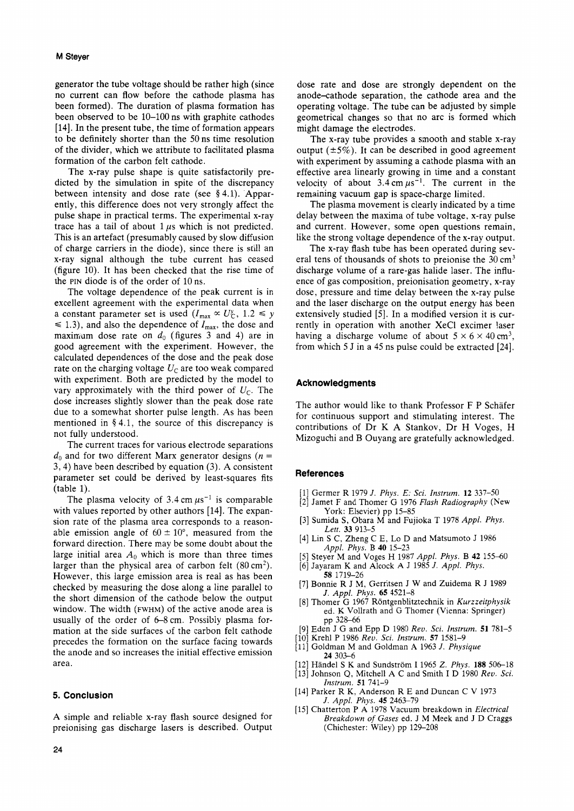generator the tube voltage should be rather high (since no current can flow before the cathode plasma has been formed). The duration of plasma formation has been observed to be 10-100 ns with graphite cathodes [14]. In the present tube, the time of formation appears to be definitely shorter than the 50 ns time resolution of the divider, which we attribute to facilitated plasma formation of the carbon felt cathode.

The x-ray pulse shape is quite satisfactorily predicted by the simulation in spite of the discrepancy between intensity and dose rate (see **9** 4.1). Apparently, this difference does not very strongly affect the pulse shape in practical terms. The experimental x-ray trace has a tail of about  $1 \mu s$  which is not predicted. This is an artefact (presumably caused by slow diffusion of charge carriers in the diode), since there is still an x-ray signal although the tube current has ceased (figure 10). It has been checked that the rise time of the **PIN** diode is of the order of 10 ns.

The voltage dependence of the peak current is in excellent agreement with the experimental data when a constant parameter set is used  $(I_{\text{max}} \propto U_C^{\gamma}$ ,  $1.2 \leq \gamma$  $\leq$  1.3), and also the dependence of  $I_{\text{max}}$ , the dose and maximum dose rate on  $d_0$  (figures 3 and 4) are in good agreement with the experiment. However, the calculated dependences of the dose and the peak dose rate on the charging voltage  $U<sub>C</sub>$  are too weak compared with experiment. Both are predicted by the model to vary approximately with the third power of  $U_{\rm C}$ . The dose increases slightly slower than the peak dose rate due to a somewhat shorter pulse length. As has been mentioned in **9** 4.1, the source of this discrepancy is not fully understood.

The current traces for various electrode separations  $d_0$  and for two different Marx generator designs  $(n =$ 3,4) have been described by equation (3). A consistent parameter set could be derived by least-squares fits (table 1).

The plasma velocity of  $3.4 \text{ cm } \mu\text{s}^{-1}$  is comparable with values reported by other authors [14]. The expansion rate of the plasma area corresponds to a reasonable emission angle of  $60 \pm 10^{\circ}$ , measured from the forward direction. There may be some doubt about the large initial area  $A_0$  which is more than three times larger than the physical area of carbon felt  $(80 \text{ cm}^2)$ . However, this large emission area is real as has been checked by measuring the dose along a line parallel to the short dimension of the cathode below the output window. The width (FWHM) of the active anode area is usually of the order of  $6-8$  cm. Possibly plasma formation at the side surfaces of the carbon felt cathode precedes the formation on the surface facing towards the anode and so increases the initial effective emission area.

## **5. Conclusion**

A simple and reliable x-ray flash source designed for preionising gas discharge lasers is described. Output dose rate and dose are strongly dependent on the anode-cathode separation, the cathode area and the operating voltage. The tube can be adjusted by simple geometrical changes so that no arc is formed which might damage the electrodes.

The x-ray tube provides a smooth and stable x-ray output  $(\pm 5\%)$ . It can be described in good agreement with experiment by assuming a cathode plasma with an effective area linearly growing in time and a constant velocity of about  $3.4 \text{ cm } \mu\text{s}^{-1}$ . The current in the remaining vacuum gap is space-charge limited.

The plasma movement is clearly indicated by a time delay between the maxima of tube voltage, x-ray pulse and current. However, some open questions remain, like the strong voltage dependence of the x-ray output.

The x-ray flash tube has been operated during several tens of thousands of shots to preionise the  $30 \text{ cm}^3$ discharge volume of a rare-gas halide laser. The influence of gas composition, preionisation geometry, x-ray dose, pressure and time delay between the x-ray pulse and the laser discharge on the output energy has been extensively studied *[5].* In a modified version it is currently in operation with another XeCl excimer laser having a discharge volume of about  $5 \times 6 \times 40$  cm<sup>3</sup>, from which 5 J in a 45 ns pulse could be extracted [24].

#### **Acknowledgments**

The author would like to thank Professor F P Schafer for continuous support and stimulating interest. The contributions of Dr K A Stankov, Dr H Voges, H Mizoguchi and B Ouyang are gratefully acknowledged.

#### **References**

- [l] Germer R 1979 *J. Phys. E: Sci. Instrum.* **12** 337-50
- [2] Jamet F and Thomer *G* 1976 *Flash Radiography* (New York: Elsevier) pp 15-85
- [3] Sumida **S,** Obara M and Fujioka T 1978 *Appl. Phys. Lett.* **33** 913-5
- [4] Lin S C, Zheng C E, Lo D and Matsumoto J 1986 *Appl. Phys.* B **40** 15-23
- *[5]* Steyer M and Voges H 1987 *Appl. Phys.* B **42** 155-60
- [6] Jayaram K and Alcock A J 1985 *J. Appl. Phys.*
- [7] Bonnie R J M, Gerritsen J W and Zuidema R J 1989 **58** 1719-26 *J. Appl. Phys. 65* 4521-8
- [8] Thomer G 1967 Rontgenblitztechnik in *Kurzzeitphysik*  ed. K Vollrath and G Thomer (Vienna: Springer) pp 328-66
- [9] Eden J *G* and Epp D 1980 *Rev. Sci. Instrum.* **51** 781-5
- [lo] Krehl P 1986 *Reu. Sci. Instrum.* **57** 1581-9
- [l11 Goldman M and Goldman A 1963 *J. Physique*  **24** 303-6
- [l21 Handel S K and Sundstrom I 1965 *Z. Phys.* **188** 506-18 [l31 Johnson Q, Mitchell A C and Smith I D 1980 *Reu. Sci.*
- [l41 Parker R K, Anderson R E and Duncan C V 1973 *Instrum.* **51** 741-9
- *J. Appl. Phys.* **45** 2463-79
- [l51 Chatterton P A 1978 Vacuum breakdown in *Electrical Breakdown of Gases* ed. J M Meek and J D Craggs (Chichester: Wiley) pp 129-208